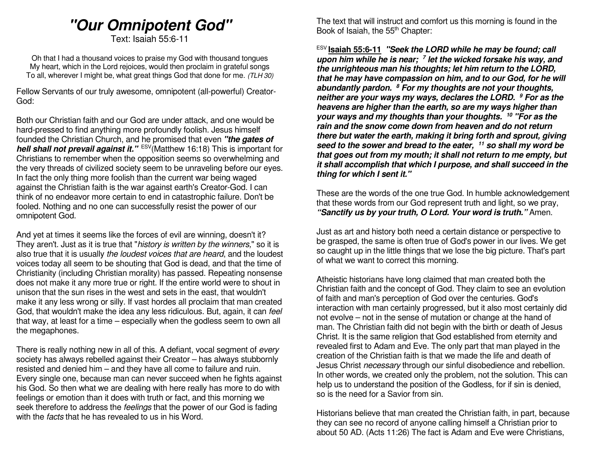# **"Our Omnipotent God"**

Text: Isaiah 55:6-11

Oh that I had a thousand voices to praise my God with thousand tongues My heart, which in the Lord rejoices, would then proclaim in grateful songs To all, wherever I might be, what great things God that done for me. (TLH 30)

Fellow Servants of our truly awesome, omnipotent (all-powerful) Creator-God:

Both our Christian faith and our God are under attack, and one would be hard-pressed to find anything more profoundly foolish. Jesus himself founded the Christian Church, and he promised that even **"the gates of hell shall not prevail against it."** ESV(Matthew 16:18) This is important for Christians to remember when the opposition seems so overwhelming and the very threads of civilized society seem to be unraveling before our eyes. In fact the only thing more foolish than the current war being waged against the Christian faith is the war against earth's Creator-God. I can think of no endeavor more certain to end in catastrophic failure. Don't be fooled. Nothing and no one can successfully resist the power of our omnipotent God.

And yet at times it seems like the forces of evil are winning, doesn't it? They aren't. Just as it is true that "history is written by the winners," so it is also true that it is usually the loudest voices that are heard, and the loudest voices today all seem to be shouting that God is dead, and that the time of Christianity (including Christian morality) has passed. Repeating nonsense does not make it any more true or right. If the entire world were to shout in unison that the sun rises in the west and sets in the east, that wouldn't make it any less wrong or silly. If vast hordes all proclaim that man created God, that wouldn't make the idea any less ridiculous. But, again, it can feel that way, at least for a time – especially when the godless seem to own all the megaphones.

There is really nothing new in all of this. A defiant, vocal segment of every society has always rebelled against their Creator – has always stubbornly resisted and denied him – and they have all come to failure and ruin. Every single one, because man can never succeed when he fights against his God. So then what we are dealing with here really has more to do with feelings or emotion than it does with truth or fact, and this morning we seek therefore to address the *feelings* that the power of our God is fading with the *facts* that he has revealed to us in his Word.

The text that will instruct and comfort us this morning is found in the Book of Isaiah, the 55<sup>th</sup> Chapter:

ESV **Isaiah 55:6-11 "Seek the LORD while he may be found; call upon him while he is near; 7 let the wicked forsake his way, and the unrighteous man his thoughts; let him return to the LORD, that he may have compassion on him, and to our God, for he will abundantly pardon. 8 For my thoughts are not your thoughts, neither are your ways my ways, declares the LORD. <sup>9</sup> For as the heavens are higher than the earth, so are my ways higher than your ways and my thoughts than your thoughts. <sup>10</sup> "For as the rain and the snow come down from heaven and do not return there but water the earth, making it bring forth and sprout, giving seed to the sower and bread to the eater, 11 so shall my word be that goes out from my mouth; it shall not return to me empty, but it shall accomplish that which I purpose, and shall succeed in the thing for which I sent it."** 

These are the words of the one true God. In humble acknowledgement that these words from our God represent truth and light, so we pray, **"Sanctify us by your truth, O Lord. Your word is truth."** Amen.

Just as art and history both need a certain distance or perspective to be grasped, the same is often true of God's power in our lives. We get so caught up in the little things that we lose the big picture. That's part of what we want to correct this morning.

Atheistic historians have long claimed that man created both the Christian faith and the concept of God. They claim to see an evolution of faith and man's perception of God over the centuries. God's interaction with man certainly progressed, but it also most certainly did not evolve – not in the sense of mutation or change at the hand of man. The Christian faith did not begin with the birth or death of Jesus Christ. It is the same religion that God established from eternity and revealed first to Adam and Eve. The only part that man played in the creation of the Christian faith is that we made the life and death of Jesus Christ *necessary* through our sinful disobedience and rebellion. In other words, we created only the problem, not the solution. This can help us to understand the position of the Godless, for if sin is denied, so is the need for a Savior from sin.

Historians believe that man created the Christian faith, in part, because they can see no record of anyone calling himself a Christian prior to about 50 AD. (Acts 11:26) The fact is Adam and Eve were Christians,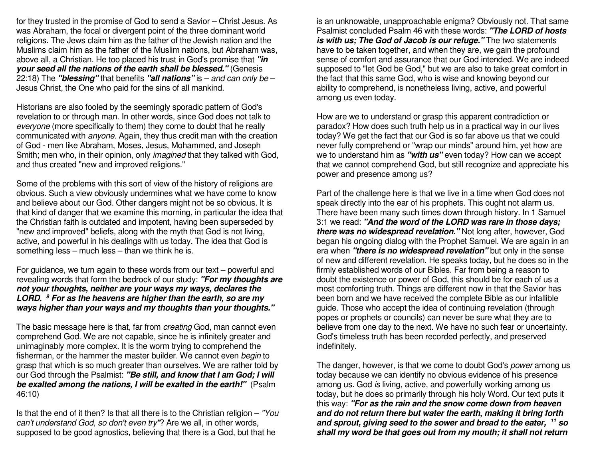for they trusted in the promise of God to send a Savior – Christ Jesus. As was Abraham, the focal or divergent point of the three dominant world religions. The Jews claim him as the father of the Jewish nation and the Muslims claim him as the father of the Muslim nations, but Abraham was, above all, a Christian. He too placed his trust in God's promise that **"in your seed all the nations of the earth shall be blessed."** (Genesis 22:18) The **"blessing"** that benefits **"all nations"** is – and can only be – Jesus Christ, the One who paid for the sins of all mankind.

Historians are also fooled by the seemingly sporadic pattern of God's revelation to or through man. In other words, since God does not talk to everyone (more specifically to them) they come to doubt that he really communicated with *anyone*. Again, they thus credit man with the creation of God - men like Abraham, Moses, Jesus, Mohammed, and Joseph Smith; men who, in their opinion, only *imagined* that they talked with God, and thus created "new and improved religions."

Some of the problems with this sort of view of the history of religions are obvious. Such a view obviously undermines what we have come to know and believe about our God. Other dangers might not be so obvious. It is that kind of danger that we examine this morning, in particular the idea that the Christian faith is outdated and impotent, having been superseded by "new and improved" beliefs, along with the myth that God is not living, active, and powerful in his dealings with us today. The idea that God is something less – much less – than we think he is.

For guidance, we turn again to these words from our text – powerful and revealing words that form the bedrock of our study: **"For my thoughts are not your thoughts, neither are your ways my ways, declares the LORD. 9 For as the heavens are higher than the earth, so are my ways higher than your ways and my thoughts than your thoughts."**

The basic message here is that, far from creating God, man cannot even comprehend God. We are not capable, since he is infinitely greater and unimaginably more complex. It is the worm trying to comprehend the fisherman, or the hammer the master builder. We cannot even begin to grasp that which is so much greater than ourselves. We are rather told by our God through the Psalmist: **"Be still, and know that I am God; I will be exalted among the nations, I will be exalted in the earth!"** (Psalm 46:10)

Is that the end of it then? Is that all there is to the Christian religion – "You can't understand God, so don't even try"? Are we all, in other words, supposed to be good agnostics, believing that there is a God, but that he

is an unknowable, unapproachable enigma? Obviously not. That same Psalmist concluded Psalm 46 with these words: **"The LORD of hosts is with us; The God of Jacob is our refuge."** The two statements have to be taken together, and when they are, we gain the profound sense of comfort and assurance that our God intended. We are indeed supposed to "let God be God," but we are also to take great comfort in the fact that this same God, who is wise and knowing beyond our ability to comprehend, is nonetheless living, active, and powerful among us even today.

How are we to understand or grasp this apparent contradiction or paradox? How does such truth help us in a practical way in our lives today? We get the fact that our God is so far above us that we could never fully comprehend or "wrap our minds" around him, yet how are we to understand him as **"with us"** even today? How can we accept that we cannot comprehend God, but still recognize and appreciate his power and presence among us?

Part of the challenge here is that we live in a time when God does not speak directly into the ear of his prophets. This ought not alarm us. There have been many such times down through history. In 1 Samuel 3:1 we read: **"And the word of the LORD was rare in those days; there was no widespread revelation."** Not long after, however, God began his ongoing dialog with the Prophet Samuel. We are again in an era when **"there is no widespread revelation"** but only in the sense of new and different revelation. He speaks today, but he does so in the firmly established words of our Bibles. Far from being a reason to doubt the existence or power of God, this should be for each of us a most comforting truth. Things are different now in that the Savior has been born and we have received the complete Bible as our infallible guide. Those who accept the idea of continuing revelation (through popes or prophets or councils) can never be sure what they are to believe from one day to the next. We have no such fear or uncertainty. God's timeless truth has been recorded perfectly, and preserved indefinitely.

The danger, however, is that we come to doubt God's *power* among us today because we can identify no obvious evidence of his presence among us. God is living, active, and powerfully working among us today, but he does so primarily through his holy Word. Our text puts it this way: **"For as the rain and the snow come down from heaven and do not return there but water the earth, making it bring forth and sprout, giving seed to the sower and bread to the eater, <sup>11</sup> so shall my word be that goes out from my mouth; it shall not return**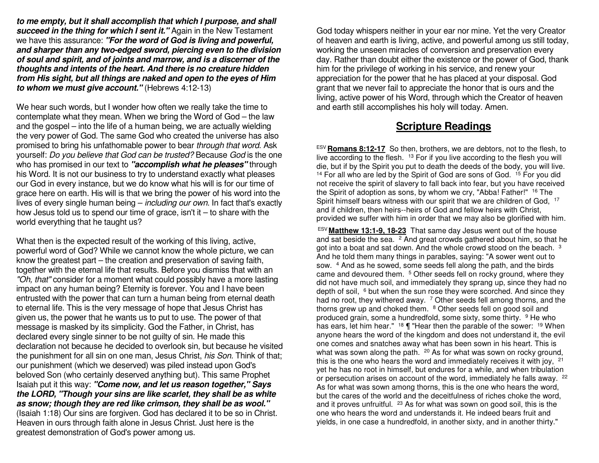**to me empty, but it shall accomplish that which I purpose, and shall succeed in the thing for which I sent it."** Again in the New Testament we have this assurance: **"For the word of God is living and powerful, and sharper than any two-edged sword, piercing even to the division of soul and spirit, and of joints and marrow, and is a discerner of the thoughts and intents of the heart. And there is no creature hidden from His sight, but all things are naked and open to the eyes of Him to whom we must give account."** (Hebrews 4:12-13)

We hear such words, but I wonder how often we really take the time to contemplate what they mean. When we bring the Word of God – the law and the gospel – into the life of a human being, we are actually wielding the very power of God. The same God who created the universe has also promised to bring his unfathomable power to bear through that word. Ask yourself: Do you believe that God can be trusted? Because God is the one who has promised in our text to **"accomplish what he pleases"** through his Word. It is not our business to try to understand exactly what pleases our God in every instance, but we do know what his will is for our time of grace here on earth. His will is that we bring the power of his word into the lives of every single human being – including our own. In fact that's exactly how Jesus told us to spend our time of grace, isn't it  $-$  to share with the world everything that he taught us?

What then is the expected result of the working of this living, active, powerful word of God? While we cannot know the whole picture, we can know the greatest part – the creation and preservation of saving faith, together with the eternal life that results. Before you dismiss that with an "Oh, that" consider for a moment what could possibly have a more lasting impact on any human being? Eternity is forever. You and I have been entrusted with the power that can turn a human being from eternal death to eternal life. This is the very message of hope that Jesus Christ has given us, the power that he wants us to put to use. The power of that message is masked by its simplicity. God the Father, in Christ, has declared every single sinner to be not guilty of sin. He made this declaration not because he decided to overlook sin, but because he visited the punishment for all sin on one man, Jesus Christ, his Son. Think of that; our punishment (which we deserved) was piled instead upon God's beloved Son (who certainly deserved anything but). This same Prophet Isaiah put it this way: **"Come now, and let us reason together," Says the LORD, "Though your sins are like scarlet, they shall be as white as snow; though they are red like crimson, they shall be as wool."** (Isaiah 1:18) Our sins are forgiven. God has declared it to be so in Christ. Heaven in ours through faith alone in Jesus Christ. Just here is the greatest demonstration of God's power among us.

God today whispers neither in your ear nor mine. Yet the very Creator of heaven and earth is living, active, and powerful among us still today, working the unseen miracles of conversion and preservation every day. Rather than doubt either the existence or the power of God, thank him for the privilege of working in his service, and renew your appreciation for the power that he has placed at your disposal. God grant that we never fail to appreciate the honor that is ours and the living, active power of his Word, through which the Creator of heaven and earth still accomplishes his holy will today. Amen.

## **Scripture Readings**

ESV **Romans 8:12-17** So then, brothers, we are debtors, not to the flesh, to live according to the flesh. 13 For if you live according to the flesh you will die, but if by the Spirit you put to death the deeds of the body, you will live. <sup>14</sup> For all who are led by the Spirit of God are sons of God. <sup>15</sup> For you did not receive the spirit of slavery to fall back into fear, but you have received the Spirit of adoption as sons, by whom we cry, "Abba! Father!" 16 The Spirit himself bears witness with our spirit that we are children of God, 17 and if children, then heirs--heirs of God and fellow heirs with Christ, provided we suffer with him in order that we may also be glorified with him.

 ESV **Matthew 13:1-9, 18-23** That same day Jesus went out of the house and sat beside the sea.  $2$  And great crowds gathered about him, so that he got into a boat and sat down. And the whole crowd stood on the beach. <sup>3</sup> And he told them many things in parables, saying: "A sower went out to sow. <sup>4</sup> And as he sowed, some seeds fell along the path, and the birds came and devoured them. <sup>5</sup> Other seeds fell on rocky ground, where they did not have much soil, and immediately they sprang up, since they had no depth of soil,  $~^6$  but when the sun rose they were scorched. And since they had no root, they withered away. <sup>7</sup> Other seeds fell among thorns, and the thorns grew up and choked them. <sup>8</sup> Other seeds fell on good soil and produced grain, some a hundredfold, some sixty, some thirty. <sup>9</sup> He who has ears, let him hear." <sup>18</sup> ¶ "Hear then the parable of the sower: <sup>19</sup> When anyone hears the word of the kingdom and does not understand it, the evil one comes and snatches away what has been sown in his heart. This is what was sown along the path. <sup>20</sup> As for what was sown on rocky ground, this is the one who hears the word and immediately receives it with joy, <sup>21</sup> yet he has no root in himself, but endures for a while, and when tribulation or persecution arises on account of the word, immediately he falls away. <sup>22</sup> As for what was sown among thorns, this is the one who hears the word, but the cares of the world and the deceitfulness of riches choke the word, and it proves unfruitful. <sup>23</sup> As for what was sown on good soil, this is the one who hears the word and understands it. He indeed bears fruit and yields, in one case a hundredfold, in another sixty, and in another thirty."